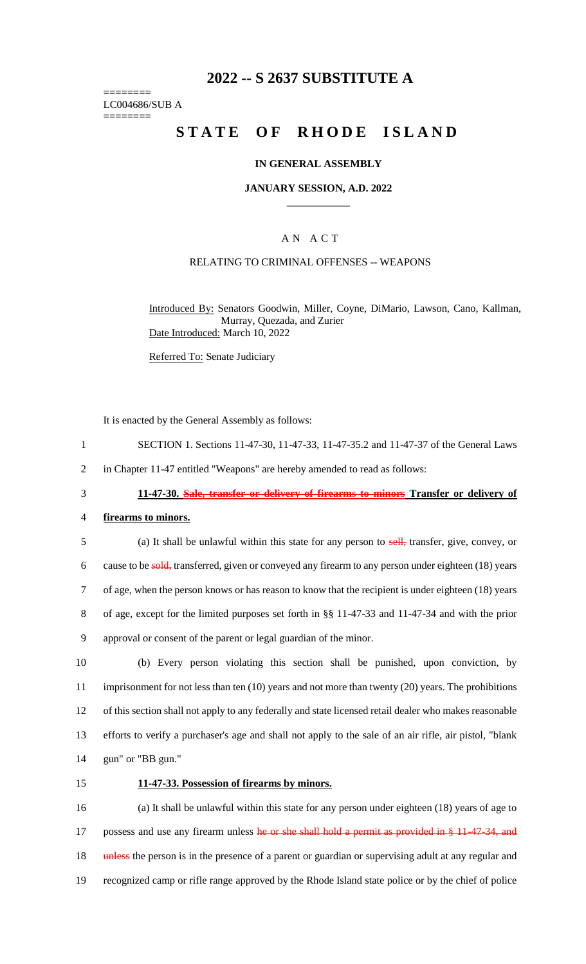## **2022 -- S 2637 SUBSTITUTE A**

======== LC004686/SUB A ========

# **STATE OF RHODE ISLAND**

#### **IN GENERAL ASSEMBLY**

#### **JANUARY SESSION, A.D. 2022 \_\_\_\_\_\_\_\_\_\_\_\_**

### A N A C T

## RELATING TO CRIMINAL OFFENSES -- WEAPONS

Introduced By: Senators Goodwin, Miller, Coyne, DiMario, Lawson, Cano, Kallman, Murray, Quezada, and Zurier Date Introduced: March 10, 2022

Referred To: Senate Judiciary

It is enacted by the General Assembly as follows:

- 1 SECTION 1. Sections 11-47-30, 11-47-33, 11-47-35.2 and 11-47-37 of the General Laws
- 2 in Chapter 11-47 entitled "Weapons" are hereby amended to read as follows:

- 3 **11-47-30. Sale, transfer or delivery of firearms to minors Transfer or delivery of**
- 4 **firearms to minors.**
- 5 (a) It shall be unlawful within this state for any person to sell, transfer, give, convey, or 6 cause to be sold, transferred, given or conveyed any firearm to any person under eighteen (18) years 7 of age, when the person knows or has reason to know that the recipient is under eighteen (18) years 8 of age, except for the limited purposes set forth in §§ 11-47-33 and 11-47-34 and with the prior 9 approval or consent of the parent or legal guardian of the minor.

 (b) Every person violating this section shall be punished, upon conviction, by imprisonment for not less than ten (10) years and not more than twenty (20) years. The prohibitions of this section shall not apply to any federally and state licensed retail dealer who makes reasonable efforts to verify a purchaser's age and shall not apply to the sale of an air rifle, air pistol, "blank gun" or "BB gun."

#### 15 **11-47-33. Possession of firearms by minors.**

16 (a) It shall be unlawful within this state for any person under eighteen (18) years of age to 17 possess and use any firearm unless he or she shall hold a permit as provided in § 11-47-34, and 18 unless the person is in the presence of a parent or guardian or supervising adult at any regular and 19 recognized camp or rifle range approved by the Rhode Island state police or by the chief of police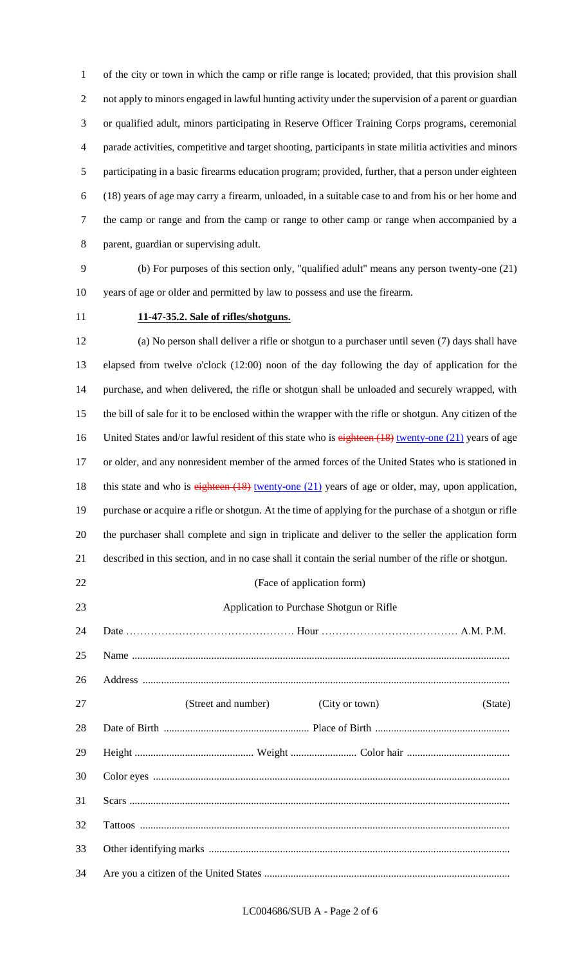of the city or town in which the camp or rifle range is located; provided, that this provision shall not apply to minors engaged in lawful hunting activity under the supervision of a parent or guardian or qualified adult, minors participating in Reserve Officer Training Corps programs, ceremonial parade activities, competitive and target shooting, participants in state militia activities and minors participating in a basic firearms education program; provided, further, that a person under eighteen (18) years of age may carry a firearm, unloaded, in a suitable case to and from his or her home and the camp or range and from the camp or range to other camp or range when accompanied by a parent, guardian or supervising adult.

 (b) For purposes of this section only, "qualified adult" means any person twenty-one (21) years of age or older and permitted by law to possess and use the firearm.

#### **11-47-35.2. Sale of rifles/shotguns.**

 (a) No person shall deliver a rifle or shotgun to a purchaser until seven (7) days shall have elapsed from twelve o'clock (12:00) noon of the day following the day of application for the purchase, and when delivered, the rifle or shotgun shall be unloaded and securely wrapped, with the bill of sale for it to be enclosed within the wrapper with the rifle or shotgun. Any citizen of the 16 United States and/or lawful resident of this state who is eighteen (18) twenty-one (21) years of age or older, and any nonresident member of the armed forces of the United States who is stationed in 18 this state and who is eighteen (18) twenty-one (21) years of age or older, may, upon application, purchase or acquire a rifle or shotgun. At the time of applying for the purchase of a shotgun or rifle the purchaser shall complete and sign in triplicate and deliver to the seller the application form described in this section, and in no case shall it contain the serial number of the rifle or shotgun. 22 (Face of application form) Application to Purchase Shotgun or Rifle

 Date ………………………………………… Hour ………………………………… A.M. P.M. Name ............................................................................................................................................... Address ........................................................................................................................................... 27 (Street and number) (City or town) (State) Date of Birth ....................................................... Place of Birth ................................................... Height ............................................. Weight ......................... Color hair ....................................... Color eyes ....................................................................................................................................... Scars ................................................................................................................................................ Tattoos ............................................................................................................................................ Other identifying marks .................................................................................................................. Are you a citizen of the United States .............................................................................................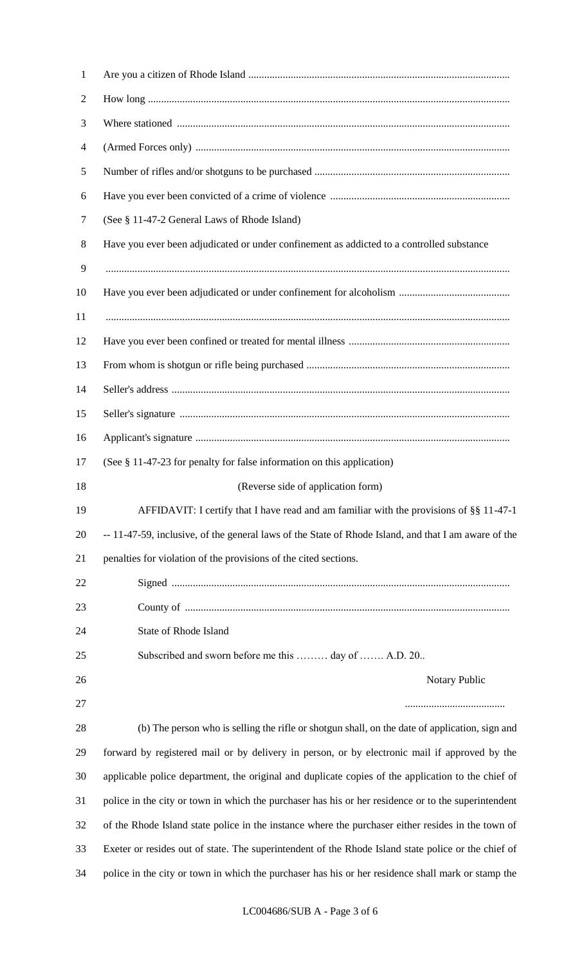| $\mathbf{1}$   |                                                                                                      |
|----------------|------------------------------------------------------------------------------------------------------|
| $\overline{2}$ |                                                                                                      |
| 3              |                                                                                                      |
| $\overline{4}$ |                                                                                                      |
| 5              |                                                                                                      |
| 6              |                                                                                                      |
| 7              | (See § 11-47-2 General Laws of Rhode Island)                                                         |
| 8              | Have you ever been adjudicated or under confinement as addicted to a controlled substance            |
| 9              |                                                                                                      |
| 10             |                                                                                                      |
| 11             |                                                                                                      |
| 12             |                                                                                                      |
| 13             |                                                                                                      |
| 14             |                                                                                                      |
| 15             |                                                                                                      |
| 16             |                                                                                                      |
| 17             | (See § 11-47-23 for penalty for false information on this application)                               |
| 18             | (Reverse side of application form)                                                                   |
|                |                                                                                                      |
| 19             | AFFIDAVIT: I certify that I have read and am familiar with the provisions of §§ 11-47-1              |
| 20             | -- 11-47-59, inclusive, of the general laws of the State of Rhode Island, and that I am aware of the |
| 21             | penalties for violation of the provisions of the cited sections.                                     |
| 22             |                                                                                                      |
| 23             |                                                                                                      |
| 24             | State of Rhode Island                                                                                |
| 25             | Subscribed and sworn before me this  day of  A.D. 20                                                 |
| 26             | Notary Public                                                                                        |
| 27             |                                                                                                      |
| 28             | (b) The person who is selling the rifle or shotgun shall, on the date of application, sign and       |
| 29             | forward by registered mail or by delivery in person, or by electronic mail if approved by the        |
| 30             | applicable police department, the original and duplicate copies of the application to the chief of   |
| 31             | police in the city or town in which the purchaser has his or her residence or to the superintendent  |
| 32             | of the Rhode Island state police in the instance where the purchaser either resides in the town of   |
| 33             | Exeter or resides out of state. The superintendent of the Rhode Island state police or the chief of  |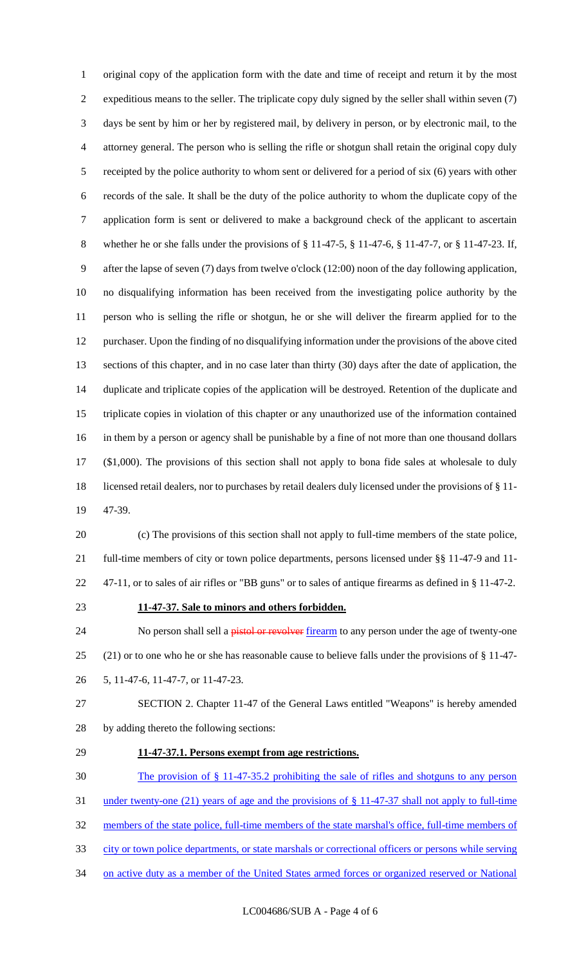original copy of the application form with the date and time of receipt and return it by the most expeditious means to the seller. The triplicate copy duly signed by the seller shall within seven (7) days be sent by him or her by registered mail, by delivery in person, or by electronic mail, to the attorney general. The person who is selling the rifle or shotgun shall retain the original copy duly receipted by the police authority to whom sent or delivered for a period of six (6) years with other records of the sale. It shall be the duty of the police authority to whom the duplicate copy of the application form is sent or delivered to make a background check of the applicant to ascertain whether he or she falls under the provisions of § 11-47-5, § 11-47-6, § 11-47-7, or § 11-47-23. If, after the lapse of seven (7) days from twelve o'clock (12:00) noon of the day following application, no disqualifying information has been received from the investigating police authority by the person who is selling the rifle or shotgun, he or she will deliver the firearm applied for to the purchaser. Upon the finding of no disqualifying information under the provisions of the above cited sections of this chapter, and in no case later than thirty (30) days after the date of application, the duplicate and triplicate copies of the application will be destroyed. Retention of the duplicate and triplicate copies in violation of this chapter or any unauthorized use of the information contained in them by a person or agency shall be punishable by a fine of not more than one thousand dollars (\$1,000). The provisions of this section shall not apply to bona fide sales at wholesale to duly licensed retail dealers, nor to purchases by retail dealers duly licensed under the provisions of § 11- 47-39.

 (c) The provisions of this section shall not apply to full-time members of the state police, full-time members of city or town police departments, persons licensed under §§ 11-47-9 and 11- 47-11, or to sales of air rifles or "BB guns" or to sales of antique firearms as defined in § 11-47-2.

#### **11-47-37. Sale to minors and others forbidden.**

24 No person shall sell a pistol or revolver firearm to any person under the age of twenty-one (21) or to one who he or she has reasonable cause to believe falls under the provisions of § 11-47- 5, 11-47-6, 11-47-7, or 11-47-23.

 SECTION 2. Chapter 11-47 of the General Laws entitled "Weapons" is hereby amended by adding thereto the following sections:

## **11-47-37.1. Persons exempt from age restrictions.**

The provision of § 11-47-35.2 prohibiting the sale of rifles and shotguns to any person

under twenty-one (21) years of age and the provisions of § 11-47-37 shall not apply to full-time

members of the state police, full-time members of the state marshal's office, full-time members of

- city or town police departments, or state marshals or correctional officers or persons while serving
- on active duty as a member of the United States armed forces or organized reserved or National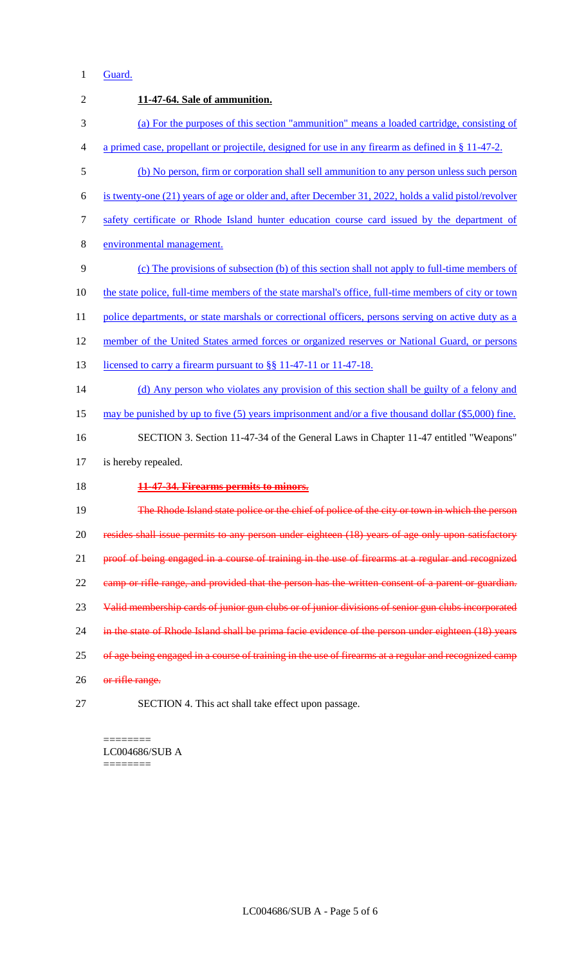## Guard.

| $\overline{2}$ | 11-47-64. Sale of ammunition.                                                                         |
|----------------|-------------------------------------------------------------------------------------------------------|
| 3              | (a) For the purposes of this section "ammunition" means a loaded cartridge, consisting of             |
| 4              | a primed case, propellant or projectile, designed for use in any firearm as defined in $\S 11-47-2$ . |
| 5              | (b) No person, firm or corporation shall sell ammunition to any person unless such person             |
| 6              | is twenty-one (21) years of age or older and, after December 31, 2022, holds a valid pistol/revolver  |
| 7              | safety certificate or Rhode Island hunter education course card issued by the department of           |
| 8              | environmental management.                                                                             |
| 9              | (c) The provisions of subsection (b) of this section shall not apply to full-time members of          |
| 10             | the state police, full-time members of the state marshal's office, full-time members of city or town  |
| 11             | police departments, or state marshals or correctional officers, persons serving on active duty as a   |
| 12             | member of the United States armed forces or organized reserves or National Guard, or persons          |
| 13             | licensed to carry a firearm pursuant to §§ 11-47-11 or 11-47-18.                                      |
| 14             | (d) Any person who violates any provision of this section shall be guilty of a felony and             |
| 15             | may be punished by up to five (5) years imprisonment and/or a five thousand dollar $(\$5,000)$ fine.  |
| 16             | SECTION 3. Section 11-47-34 of the General Laws in Chapter 11-47 entitled "Weapons"                   |
| 17             | is hereby repealed.                                                                                   |
| 18             | 11-47-34. Firearms permits to minors.                                                                 |
| 19             | The Rhode Island state police or the chief of police of the city or town in which the person          |
| 20             | resides shall issue permits to any person under eighteen (18) years of age only upon satisfactory     |
| 21             | proof of being engaged in a course of training in the use of firearms at a regular and recognized     |
| 22             | camp or rifle range, and provided that the person has the written consent of a parent or guardian.    |
| 23             | Valid membership cards of junior gun clubs or of junior divisions of senior gun clubs incorporated    |
| 24             | in the state of Rhode Island shall be prima facie evidence of the person under eighteen (18) years    |
| 25             | of age being engaged in a course of training in the use of firearms at a regular and recognized camp  |
| 26             | or rifle range.                                                                                       |
| 27             | SECTION 4. This act shall take effect upon passage.                                                   |

======== LC004686/SUB A ========